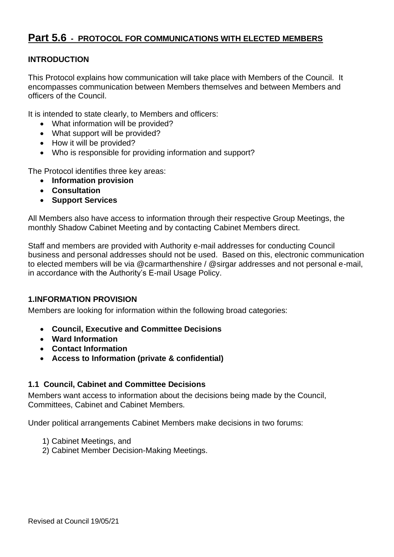## **Part 5.6 - PROTOCOL FOR COMMUNICATIONS WITH ELECTED MEMBERS**

## **INTRODUCTION**

This Protocol explains how communication will take place with Members of the Council. It encompasses communication between Members themselves and between Members and officers of the Council.

It is intended to state clearly, to Members and officers:

- What information will be provided?
- What support will be provided?
- How it will be provided?
- Who is responsible for providing information and support?

The Protocol identifies three key areas:

- **Information provision**
- **Consultation**
- **Support Services**

All Members also have access to information through their respective Group Meetings, the monthly Shadow Cabinet Meeting and by contacting Cabinet Members direct.

Staff and members are provided with Authority e-mail addresses for conducting Council business and personal addresses should not be used. Based on this, electronic communication to elected members will be via @carmarthenshire / @sirgar addresses and not personal e-mail, in accordance with the Authority's E-mail Usage Policy.

## **1.INFORMATION PROVISION**

Members are looking for information within the following broad categories:

- **Council, Executive and Committee Decisions**
- **Ward Information**
- **Contact Information**
- **Access to Information (private & confidential)**

## **1.1 Council, Cabinet and Committee Decisions**

Members want access to information about the decisions being made by the Council, Committees, Cabinet and Cabinet Members.

Under political arrangements Cabinet Members make decisions in two forums:

- 1) Cabinet Meetings, and
- 2) Cabinet Member Decision-Making Meetings.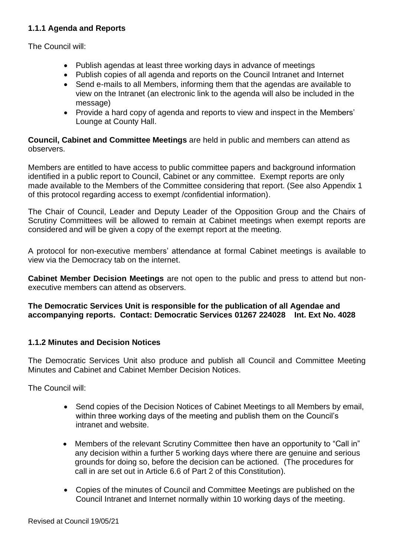## **1.1.1 Agenda and Reports**

The Council will:

- Publish agendas at least three working days in advance of meetings
- Publish copies of all agenda and reports on the Council Intranet and Internet
- Send e-mails to all Members, informing them that the agendas are available to view on the Intranet (an electronic link to the agenda will also be included in the message)
- Provide a hard copy of agenda and reports to view and inspect in the Members' Lounge at County Hall.

**Council, Cabinet and Committee Meetings** are held in public and members can attend as observers.

Members are entitled to have access to public committee papers and background information identified in a public report to Council, Cabinet or any committee. Exempt reports are only made available to the Members of the Committee considering that report. (See also Appendix 1 of this protocol regarding access to exempt /confidential information).

The Chair of Council, Leader and Deputy Leader of the Opposition Group and the Chairs of Scrutiny Committees will be allowed to remain at Cabinet meetings when exempt reports are considered and will be given a copy of the exempt report at the meeting.

A protocol for non-executive members' attendance at formal Cabinet meetings is available to view via the Democracy tab on the internet.

**Cabinet Member Decision Meetings** are not open to the public and press to attend but nonexecutive members can attend as observers.

**The Democratic Services Unit is responsible for the publication of all Agendae and accompanying reports. Contact: Democratic Services 01267 224028 Int. Ext No. 4028**

## **1.1.2 Minutes and Decision Notices**

The Democratic Services Unit also produce and publish all Council and Committee Meeting Minutes and Cabinet and Cabinet Member Decision Notices.

The Council will:

- Send copies of the Decision Notices of Cabinet Meetings to all Members by email, within three working days of the meeting and publish them on the Council's intranet and website.
- Members of the relevant Scrutiny Committee then have an opportunity to "Call in" any decision within a further 5 working days where there are genuine and serious grounds for doing so, before the decision can be actioned. (The procedures for call in are set out in Article 6.6 of Part 2 of this Constitution).
- Copies of the minutes of Council and Committee Meetings are published on the Council Intranet and Internet normally within 10 working days of the meeting.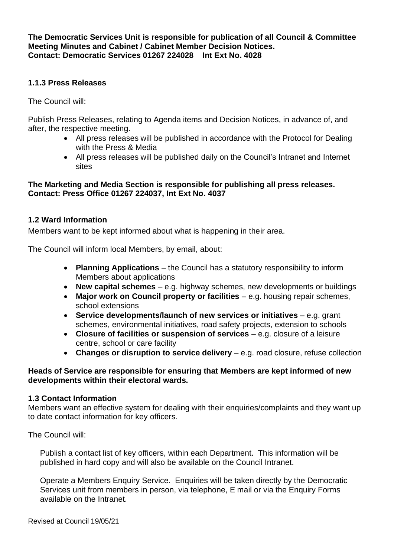**The Democratic Services Unit is responsible for publication of all Council & Committee Meeting Minutes and Cabinet / Cabinet Member Decision Notices. Contact: Democratic Services 01267 224028 Int Ext No. 4028**

## **1.1.3 Press Releases**

The Council will:

Publish Press Releases, relating to Agenda items and Decision Notices, in advance of, and after, the respective meeting.

- All press releases will be published in accordance with the Protocol for Dealing with the Press & Media
- All press releases will be published daily on the Council's Intranet and Internet sites

## **The Marketing and Media Section is responsible for publishing all press releases. Contact: Press Office 01267 224037, Int Ext No. 4037**

## **1.2 Ward Information**

Members want to be kept informed about what is happening in their area.

The Council will inform local Members, by email, about:

- **Planning Applications** the Council has a statutory responsibility to inform Members about applications
- **New capital schemes** e.g. highway schemes, new developments or buildings
- **Major work on Council property or facilities** e.g. housing repair schemes, school extensions
- **Service developments/launch of new services or initiatives** e.g. grant schemes, environmental initiatives, road safety projects, extension to schools
- **Closure of facilities or suspension of services** e.g. closure of a leisure centre, school or care facility
- **Changes or disruption to service delivery** e.g. road closure, refuse collection

## **Heads of Service are responsible for ensuring that Members are kept informed of new developments within their electoral wards.**

## **1.3 Contact Information**

Members want an effective system for dealing with their enquiries/complaints and they want up to date contact information for key officers.

The Council will:

Publish a contact list of key officers, within each Department. This information will be published in hard copy and will also be available on the Council Intranet.

Operate a Members Enquiry Service. Enquiries will be taken directly by the Democratic Services unit from members in person, via telephone, E mail or via the Enquiry Forms available on the Intranet.

Revised at Council 19/05/21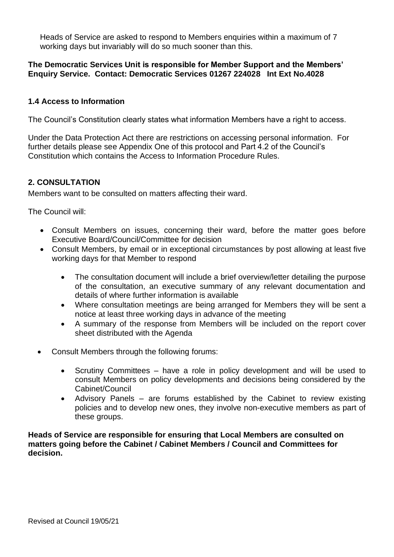Heads of Service are asked to respond to Members enquiries within a maximum of 7 working days but invariably will do so much sooner than this.

## **The Democratic Services Unit is responsible for Member Support and the Members' Enquiry Service. Contact: Democratic Services 01267 224028 Int Ext No.4028**

## **1.4 Access to Information**

The Council's Constitution clearly states what information Members have a right to access.

Under the Data Protection Act there are restrictions on accessing personal information. For further details please see Appendix One of this protocol and Part 4.2 of the Council's Constitution which contains the Access to Information Procedure Rules.

## **2. CONSULTATION**

Members want to be consulted on matters affecting their ward.

The Council will:

- Consult Members on issues, concerning their ward, before the matter goes before Executive Board/Council/Committee for decision
- Consult Members, by email or in exceptional circumstances by post allowing at least five working days for that Member to respond
	- The consultation document will include a brief overview/letter detailing the purpose of the consultation, an executive summary of any relevant documentation and details of where further information is available
	- Where consultation meetings are being arranged for Members they will be sent a notice at least three working days in advance of the meeting
	- A summary of the response from Members will be included on the report cover sheet distributed with the Agenda
- Consult Members through the following forums:
	- Scrutiny Committees have a role in policy development and will be used to consult Members on policy developments and decisions being considered by the Cabinet/Council
	- Advisory Panels are forums established by the Cabinet to review existing policies and to develop new ones, they involve non-executive members as part of these groups.

**Heads of Service are responsible for ensuring that Local Members are consulted on matters going before the Cabinet / Cabinet Members / Council and Committees for decision.**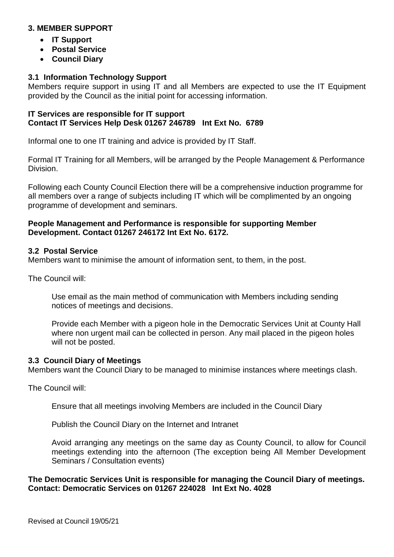## **3. MEMBER SUPPORT**

- **IT Support**
- **Postal Service**
- **Council Diary**

## **3.1 Information Technology Support**

Members require support in using IT and all Members are expected to use the IT Equipment provided by the Council as the initial point for accessing information.

## **IT Services are responsible for IT support Contact IT Services Help Desk 01267 246789 Int Ext No. 6789**

Informal one to one IT training and advice is provided by IT Staff.

Formal IT Training for all Members, will be arranged by the People Management & Performance Division.

Following each County Council Election there will be a comprehensive induction programme for all members over a range of subjects including IT which will be complimented by an ongoing programme of development and seminars.

## **People Management and Performance is responsible for supporting Member Development. Contact 01267 246172 Int Ext No. 6172.**

## **3.2 Postal Service**

Members want to minimise the amount of information sent, to them, in the post.

The Council will:

Use email as the main method of communication with Members including sending notices of meetings and decisions.

Provide each Member with a pigeon hole in the Democratic Services Unit at County Hall where non urgent mail can be collected in person. Any mail placed in the pigeon holes will not be posted.

## **3.3 Council Diary of Meetings**

Members want the Council Diary to be managed to minimise instances where meetings clash.

The Council will:

Ensure that all meetings involving Members are included in the Council Diary

Publish the Council Diary on the Internet and Intranet

Avoid arranging any meetings on the same day as County Council, to allow for Council meetings extending into the afternoon (The exception being All Member Development Seminars / Consultation events)

#### **The Democratic Services Unit is responsible for managing the Council Diary of meetings. Contact: Democratic Services on 01267 224028 Int Ext No. 4028**